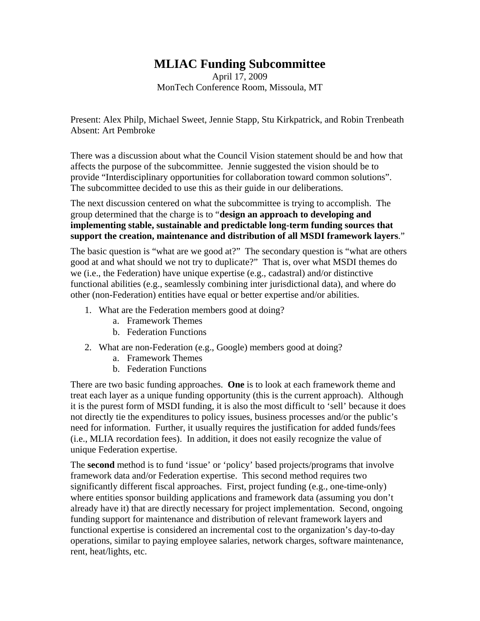## **MLIAC Funding Subcommittee**

April 17, 2009 MonTech Conference Room, Missoula, MT

Present: Alex Philp, Michael Sweet, Jennie Stapp, Stu Kirkpatrick, and Robin Trenbeath Absent: Art Pembroke

There was a discussion about what the Council Vision statement should be and how that affects the purpose of the subcommittee. Jennie suggested the vision should be to provide "Interdisciplinary opportunities for collaboration toward common solutions". The subcommittee decided to use this as their guide in our deliberations.

The next discussion centered on what the subcommittee is trying to accomplish. The group determined that the charge is to "**design an approach to developing and implementing stable, sustainable and predictable long-term funding sources that support the creation, maintenance and distribution of all MSDI framework layers**."

The basic question is "what are we good at?" The secondary question is "what are others good at and what should we not try to duplicate?" That is, over what MSDI themes do we (i.e., the Federation) have unique expertise (e.g., cadastral) and/or distinctive functional abilities (e.g., seamlessly combining inter jurisdictional data), and where do other (non-Federation) entities have equal or better expertise and/or abilities.

- 1. What are the Federation members good at doing?
	- a. Framework Themes
	- b. Federation Functions
- 2. What are non-Federation (e.g., Google) members good at doing?
	- a. Framework Themes
	- b. Federation Functions

There are two basic funding approaches. **One** is to look at each framework theme and treat each layer as a unique funding opportunity (this is the current approach). Although it is the purest form of MSDI funding, it is also the most difficult to 'sell' because it does not directly tie the expenditures to policy issues, business processes and/or the public's need for information. Further, it usually requires the justification for added funds/fees (i.e., MLIA recordation fees). In addition, it does not easily recognize the value of unique Federation expertise.

The **second** method is to fund 'issue' or 'policy' based projects/programs that involve framework data and/or Federation expertise. This second method requires two significantly different fiscal approaches. First, project funding (e.g., one-time-only) where entities sponsor building applications and framework data (assuming you don't already have it) that are directly necessary for project implementation. Second, ongoing funding support for maintenance and distribution of relevant framework layers and functional expertise is considered an incremental cost to the organization's day-to-day operations, similar to paying employee salaries, network charges, software maintenance, rent, heat/lights, etc.